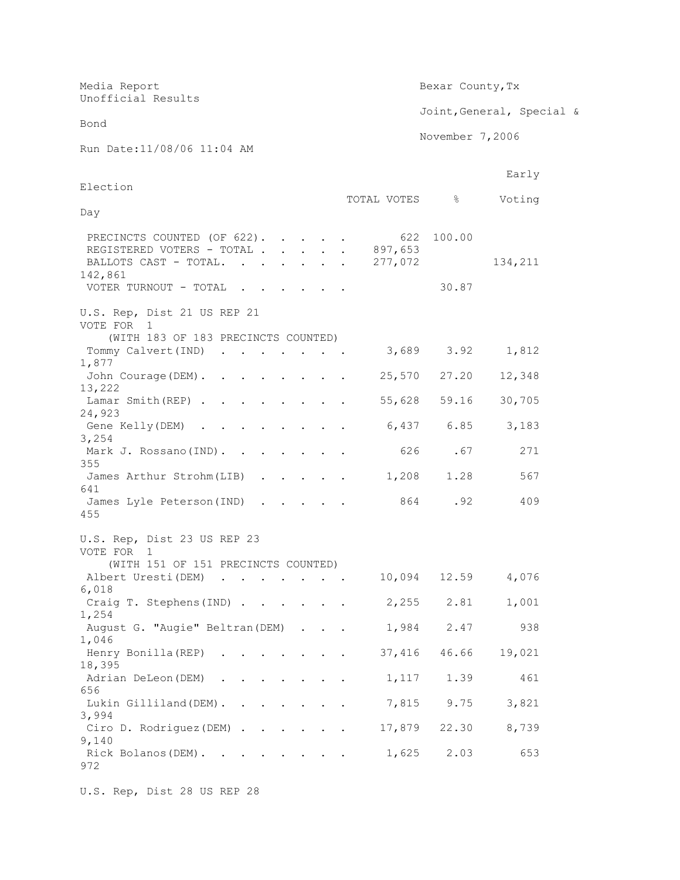| Media Report<br>Unofficial Results                                                                                   |                           | Bexar County, Tx |                           |  |
|----------------------------------------------------------------------------------------------------------------------|---------------------------|------------------|---------------------------|--|
|                                                                                                                      |                           |                  | Joint, General, Special & |  |
| Bond                                                                                                                 |                           | November 7,2006  |                           |  |
| Run Date: 11/08/06 11:04 AM                                                                                          |                           |                  |                           |  |
| Election                                                                                                             |                           |                  | Early                     |  |
|                                                                                                                      | TOTAL VOTES %             |                  | Voting                    |  |
| Day                                                                                                                  |                           |                  |                           |  |
| PRECINCTS COUNTED (OF 622).<br>REGISTERED VOTERS - TOTAL<br>BALLOTS CAST - TOTAL.<br>$\ddot{\phantom{a}}$<br>142,861 | 622<br>897,653<br>277,072 | 100.00<br>30.87  | 134,211                   |  |
| VOTER TURNOUT - TOTAL                                                                                                |                           |                  |                           |  |
| U.S. Rep, Dist 21 US REP 21<br>VOTE FOR<br>1<br>(WITH 183 OF 183 PRECINCTS COUNTED)                                  |                           |                  |                           |  |
| Tommy Calvert (IND)<br>1,877                                                                                         |                           | 3,689 3.92       | 1,812                     |  |
| John Courage (DEM)<br>13,222                                                                                         |                           | 25,570 27.20     | 12,348                    |  |
| Lamar Smith(REP)<br>24,923                                                                                           |                           | 55,628 59.16     | 30,705                    |  |
| Gene Kelly(DEM)<br>3,254                                                                                             | 6,437                     | 6.85             | 3,183                     |  |
| Mark J. Rossano(IND).                                                                                                | 626                       | .67              | 271                       |  |
| 355<br>James Arthur Strohm (LIB)<br>$\cdot$<br>641                                                                   | 1,208                     | 1.28             | 567                       |  |
| James Lyle Peterson (IND)<br>455                                                                                     |                           | .92<br>864 1     | 409                       |  |
|                                                                                                                      |                           |                  |                           |  |
| U.S. Rep, Dist 23 US REP 23<br>VOTE FOR 1                                                                            |                           |                  |                           |  |
| (WITH 151 OF 151 PRECINCTS COUNTED)<br>Albert Uresti (DEM)                                                           |                           |                  | 10,094 12.59 4,076        |  |
| 6,018<br>Craig T. Stephens (IND)                                                                                     | 2,255                     | 2.81             | 1,001                     |  |
| 1,254<br>August G. "Augie" Beltran (DEM)                                                                             | 1,984                     | 2.47             | 938                       |  |
| 1,046<br>Henry Bonilla (REP)                                                                                         | 37,416                    | 46.66            | 19,021                    |  |
| 18,395<br>Adrian DeLeon (DEM).                                                                                       | 1,117                     | 1.39             | 461                       |  |
| 656<br>Lukin Gilliland (DEM)                                                                                         | 7,815                     | 9.75             | 3,821                     |  |
| 3,994                                                                                                                |                           |                  |                           |  |
| Ciro D. Rodriguez (DEM)<br>9,140                                                                                     | 17,879                    | 22.30            | 8,739                     |  |
| Rick Bolanos (DEM).<br>972                                                                                           | 1,625                     | 2.03             | 653                       |  |

U.S. Rep, Dist 28 US REP 28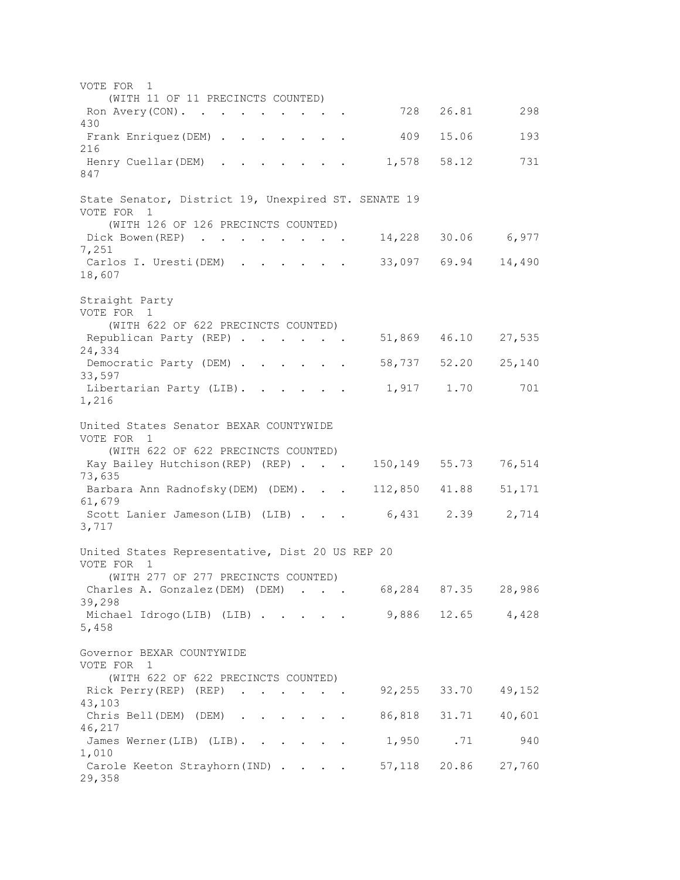VOTE FOR 1 (WITH 11 OF 11 PRECINCTS COUNTED) Ron Avery(CON). . . . . . . . . 728 26.81 298 430 Frank Enriquez(DEM) . . . . . . 409 15.06 193 216 Henry Cuellar(DEM) . . . . . . . 1,578 58.12 731 847 State Senator, District 19, Unexpired ST. SENATE 19 VOTE FOR 1 (WITH 126 OF 126 PRECINCTS COUNTED) Dick Bowen(REP) . . . . . . . 14,228 30.06 6,977 7,251 Carlos I. Uresti(DEM) . . . . . 33,097 69.94 14,490 18,607 Straight Party VOTE FOR 1 (WITH 622 OF 622 PRECINCTS COUNTED) Republican Party (REP) . . . . . 51,869 46.10 27,535 24,334 Democratic Party (DEM) . . . . . 58,737 52.20 25,140 33,597 Libertarian Party (LIB). . . . . . 1,917 1.70 701 1,216 United States Senator BEXAR COUNTYWIDE VOTE FOR 1 (WITH 622 OF 622 PRECINCTS COUNTED) Kay Bailey Hutchison (REP) (REP) . . . 150,149 55.73 76,514 73,635 Barbara Ann Radnofsky (DEM) (DEM). . . 112,850 41.88 51,171 61,679 Scott Lanier Jameson(LIB) (LIB) . . . 6,431 2.39 2,714 3,717 United States Representative, Dist 20 US REP 20 VOTE FOR 1 (WITH 277 OF 277 PRECINCTS COUNTED) Charles A. Gonzalez(DEM) (DEM) . . . 68,284 87.35 28,986 39,298 Michael Idrogo(LIB) (LIB) . . . . 9,886 12.65 4,428 5,458 Governor BEXAR COUNTYWIDE VOTE FOR 1 (WITH 622 OF 622 PRECINCTS COUNTED) Rick Perry(REP) (REP) . . . . . 92,255 33.70 49,152 43,103 Chris Bell(DEM) (DEM) . . . . . . 86,818 31.71 40,601 46,217 James Werner(LIB) (LIB). . . . . . 1,950 .71 940 1,010 Carole Keeton Strayhorn(IND) . . . . 57,118 20.86 27,760 29,358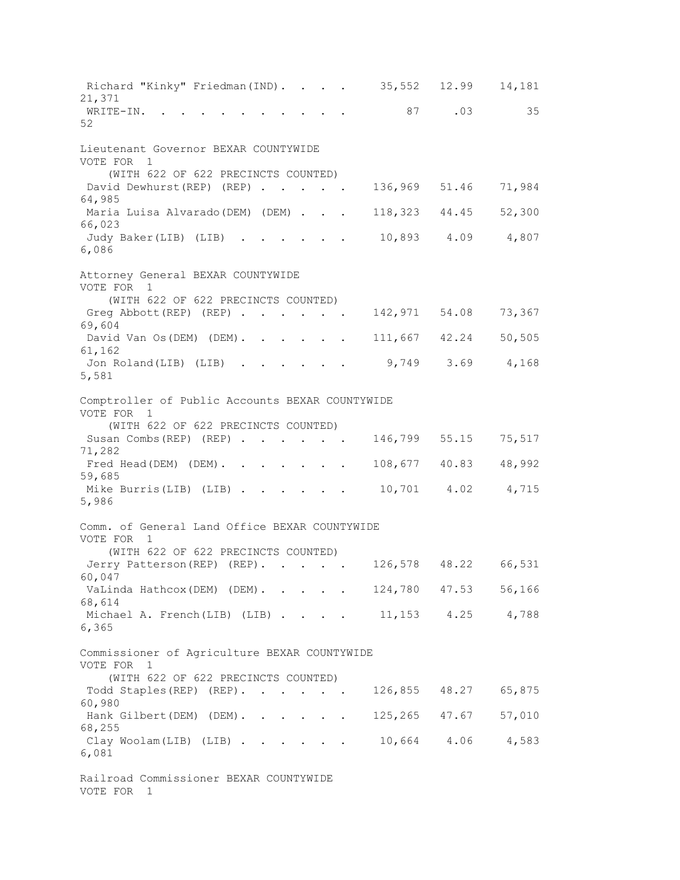Richard "Kinky" Friedman(IND). . . . 35,552 12.99 14,181 21,371 WRITE-IN. . . . . . . . . . 87 .03 35 52 Lieutenant Governor BEXAR COUNTYWIDE VOTE FOR 1 (WITH 622 OF 622 PRECINCTS COUNTED) David Dewhurst(REP) (REP) . . . . 136,969 51.46 71,984 64,985 Maria Luisa Alvarado(DEM) (DEM) . . . 118,323 44.45 52,300 66,023 Judy Baker(LIB) (LIB) . . . . . . 10,893 4.09 4,807 6,086 Attorney General BEXAR COUNTYWIDE VOTE FOR 1 (WITH 622 OF 622 PRECINCTS COUNTED) Greg Abbott (REP) (REP) . . . . . 142, 971 54.08 73, 367 69,604 David Van Os(DEM) (DEM). . . . . 111,667 42.24 50,505 61,162 Jon Roland(LIB) (LIB) . . . . . 9,749 3.69 4,168 5,581 Comptroller of Public Accounts BEXAR COUNTYWIDE VOTE FOR 1 (WITH 622 OF 622 PRECINCTS COUNTED) Susan Combs(REP) (REP) . . . . . 146,799 55.15 75,517 71,282 Fred Head(DEM) (DEM). . . . . . 108,677 40.83 48,992 59,685 Mike Burris(LIB) (LIB) . . . . . . 10,701 4.02 4,715 5,986 Comm. of General Land Office BEXAR COUNTYWIDE VOTE FOR 1 (WITH 622 OF 622 PRECINCTS COUNTED) Jerry Patterson(REP) (REP). . . . 126,578 48.22 66,531 60,047 VaLinda Hathcox(DEM) (DEM). . . . 124,780 47.53 56,166 68,614 Michael A. French(LIB) (LIB) . . . . 11,153 4.25 4,788 6,365 Commissioner of Agriculture BEXAR COUNTYWIDE VOTE FOR 1 (WITH 622 OF 622 PRECINCTS COUNTED) Todd Staples(REP) (REP). . . . . 126,855 48.27 65,875 60,980 Hank Gilbert(DEM) (DEM). . . . . 125,265 47.67 57,010 68,255 Clay Woolam(LIB) (LIB) . . . . . 10,664 4.06 4,583 6,081 Railroad Commissioner BEXAR COUNTYWIDE VOTE FOR 1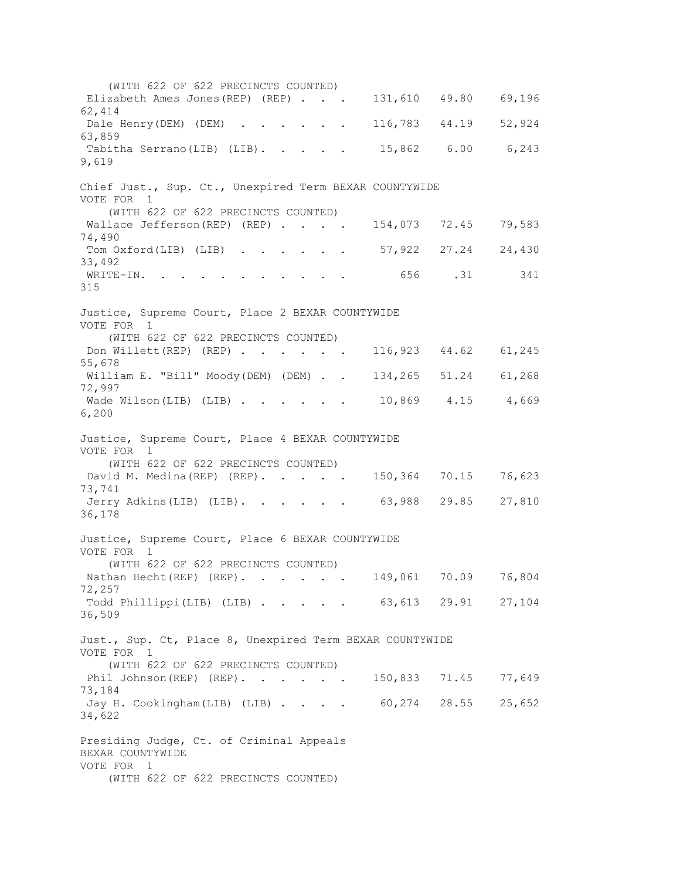(WITH 622 OF 622 PRECINCTS COUNTED) Elizabeth Ames Jones(REP) (REP) . . . 131,610 49.80 69,196 62,414 Dale Henry(DEM) (DEM) . . . . . 116,783 44.19 52,924 63,859 Tabitha Serrano(LIB) (LIB). . . . . 15,862 6.00 6,243 9,619 Chief Just., Sup. Ct., Unexpired Term BEXAR COUNTYWIDE VOTE FOR 1 (WITH 622 OF 622 PRECINCTS COUNTED) Wallace Jefferson(REP) (REP) . . . . 154,073 72.45 79,583 74,490 Tom Oxford(LIB) (LIB) . . . . . 57,922 27.24 24,430 33,492 WRITE-IN. . . . . . . . . . . 656 .31 341 315 Justice, Supreme Court, Place 2 BEXAR COUNTYWIDE VOTE FOR 1 (WITH 622 OF 622 PRECINCTS COUNTED) Don Willett(REP) (REP) . . . . . 116,923 44.62 61,245 55,678 William E. "Bill" Moody(DEM) (DEM) . . 134,265 51.24 61,268 72,997 Wade Wilson(LIB) (LIB) . . . . . 10,869 4.15 4,669 6,200 Justice, Supreme Court, Place 4 BEXAR COUNTYWIDE VOTE FOR 1 (WITH 622 OF 622 PRECINCTS COUNTED) David M. Medina(REP) (REP). . . . 150,364 70.15 76,623 73,741 Jerry Adkins(LIB) (LIB). . . . . 63,988 29.85 27,810 36,178 Justice, Supreme Court, Place 6 BEXAR COUNTYWIDE VOTE FOR 1 (WITH 622 OF 622 PRECINCTS COUNTED) Nathan Hecht(REP) (REP). . . . . 149,061 70.09 76,804 72,257 Todd Phillippi(LIB) (LIB) . . . . . 63,613 29.91 27,104 36,509 Just., Sup. Ct, Place 8, Unexpired Term BEXAR COUNTYWIDE VOTE FOR 1 (WITH 622 OF 622 PRECINCTS COUNTED) Phil Johnson(REP) (REP). . . . . 150,833 71.45 77,649 73,184 Jay H. Cookingham(LIB) (LIB) . . . . 60,274 28.55 25,652 34,622 Presiding Judge, Ct. of Criminal Appeals BEXAR COUNTYWIDE VOTE FOR 1 (WITH 622 OF 622 PRECINCTS COUNTED)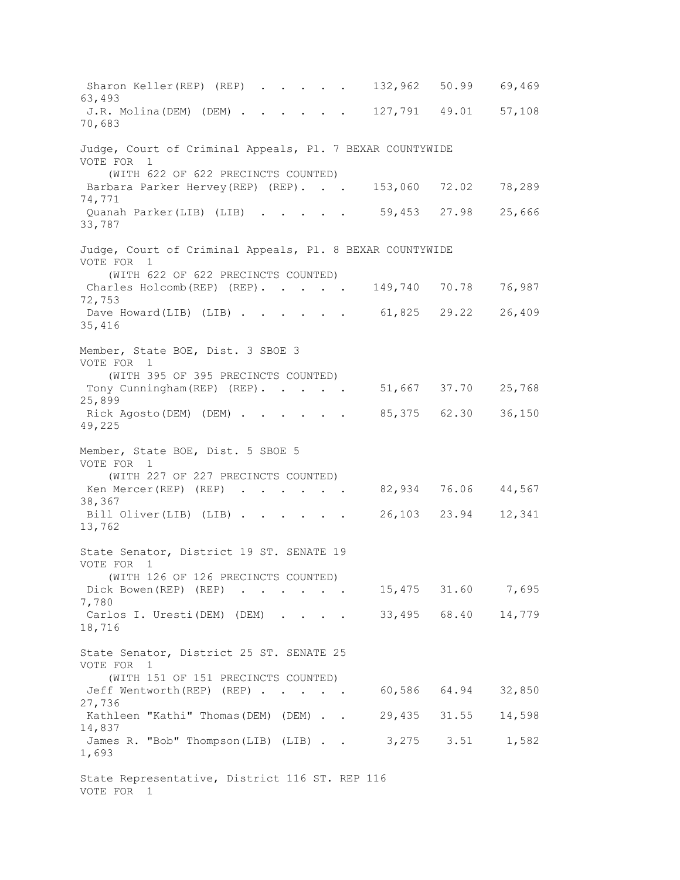Sharon Keller(REP) (REP) . . . . . 132,962 50.99 69,469 63,493 J.R. Molina(DEM) (DEM) . . . . . . 127,791 49.01 57,108 70,683 Judge, Court of Criminal Appeals, Pl. 7 BEXAR COUNTYWIDE VOTE FOR 1 (WITH 622 OF 622 PRECINCTS COUNTED) Barbara Parker Hervey(REP) (REP). . . 153,060 72.02 78,289 74,771 Quanah Parker(LIB) (LIB) . . . . . 59,453 27.98 25,666 33,787 Judge, Court of Criminal Appeals, Pl. 8 BEXAR COUNTYWIDE VOTE FOR 1 (WITH 622 OF 622 PRECINCTS COUNTED) Charles Holcomb(REP) (REP). . . . . 149,740 70.78 76,987 72,753 Dave Howard(LIB) (LIB) . . . . . 61,825 29.22 26,409 35,416 Member, State BOE, Dist. 3 SBOE 3 VOTE FOR 1 (WITH 395 OF 395 PRECINCTS COUNTED) Tony Cunningham (REP) (REP). . . . 51,667 37.70 25,768 25,899 Rick Agosto(DEM) (DEM) . . . . . 85,375 62.30 36,150 49,225 Member, State BOE, Dist. 5 SBOE 5 VOTE FOR 1 (WITH 227 OF 227 PRECINCTS COUNTED) Ken Mercer(REP) (REP) . . . . . 82,934 76.06 44,567 38,367 Bill Oliver(LIB) (LIB) . . . . . 26,103 23.94 12,341 13,762 State Senator, District 19 ST. SENATE 19 VOTE FOR 1 (WITH 126 OF 126 PRECINCTS COUNTED) Dick Bowen(REP) (REP) . . . . . 15,475 31.60 7,695 7,780 Carlos I. Uresti(DEM) (DEM) . . . . 33,495 68.40 14,779 18,716 State Senator, District 25 ST. SENATE 25 VOTE FOR 1 (WITH 151 OF 151 PRECINCTS COUNTED) Jeff Wentworth(REP) (REP) . . . . . 60,586 64.94 32,850 27,736 Kathleen "Kathi" Thomas(DEM) (DEM) . . 29,435 31.55 14,598 14,837 James R. "Bob" Thompson(LIB) (LIB) . . 3,275 3.51 1,582 1,693 State Representative, District 116 ST. REP 116 VOTE FOR 1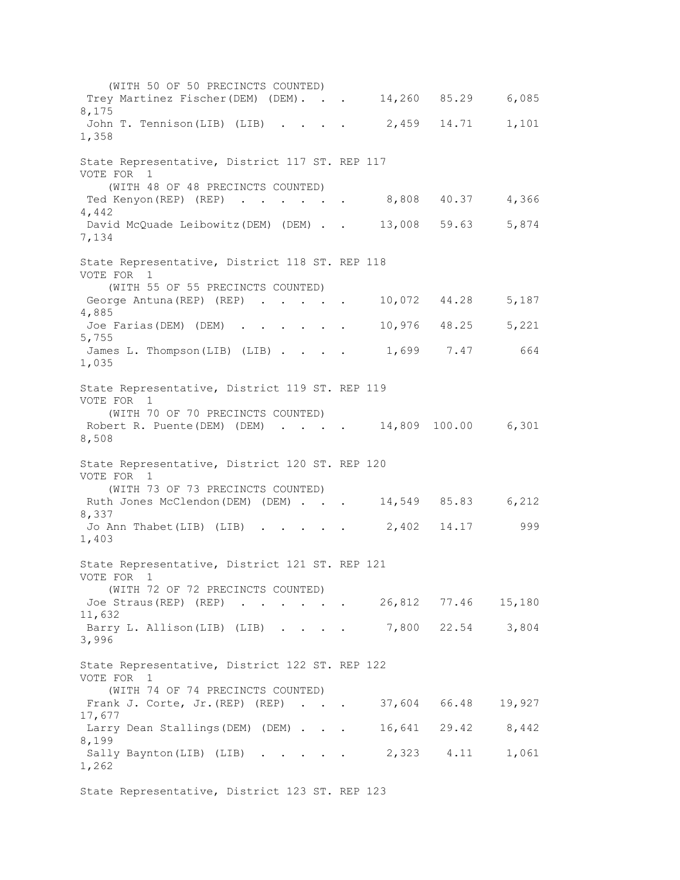(WITH 50 OF 50 PRECINCTS COUNTED) Trey Martinez Fischer(DEM) (DEM). . . 14,260 85.29 6,085 8,175 John T. Tennison(LIB) (LIB) . . . . 2,459 14.71 1,101 1,358 State Representative, District 117 ST. REP 117 VOTE FOR 1 (WITH 48 OF 48 PRECINCTS COUNTED) Ted Kenyon(REP) (REP) . . . . . . 8,808 40.37 4,366 4,442 David McQuade Leibowitz(DEM) (DEM) . . 13,008 59.63 5,874 7,134 State Representative, District 118 ST. REP 118 VOTE FOR 1 (WITH 55 OF 55 PRECINCTS COUNTED) George Antuna (REP) (REP) . . . . . 10,072 44.28 5,187 4,885 Joe Farias(DEM) (DEM) . . . . . . 10,976 48.25 5,221 5,755 James L. Thompson(LIB) (LIB) . . . . 1,699 7.47 664 1,035 State Representative, District 119 ST. REP 119 VOTE FOR 1 (WITH 70 OF 70 PRECINCTS COUNTED) Robert R. Puente(DEM) (DEM) . . . . 14,809 100.00 6,301 8,508 State Representative, District 120 ST. REP 120 VOTE FOR 1 (WITH 73 OF 73 PRECINCTS COUNTED) Ruth Jones McClendon(DEM) (DEM) . . . 14,549 85.83 6,212 8,337 Jo Ann Thabet(LIB) (LIB) . . . . 2,402 14.17 999 1,403 State Representative, District 121 ST. REP 121 VOTE FOR 1 (WITH 72 OF 72 PRECINCTS COUNTED) Joe Straus(REP) (REP) . . . . . 26,812 77.46 15,180 11,632 Barry L. Allison(LIB) (LIB) . . . . 7,800 22.54 3,804 3,996 State Representative, District 122 ST. REP 122 VOTE FOR 1 (WITH 74 OF 74 PRECINCTS COUNTED) Frank J. Corte, Jr. (REP) (REP) . . . 37,604 66.48 19,927 17,677 Larry Dean Stallings(DEM) (DEM) . . . 16,641 29.42 8,442 8,199 Sally Baynton(LIB) (LIB) . . . . 2,323 4.11 1,061 1,262 State Representative, District 123 ST. REP 123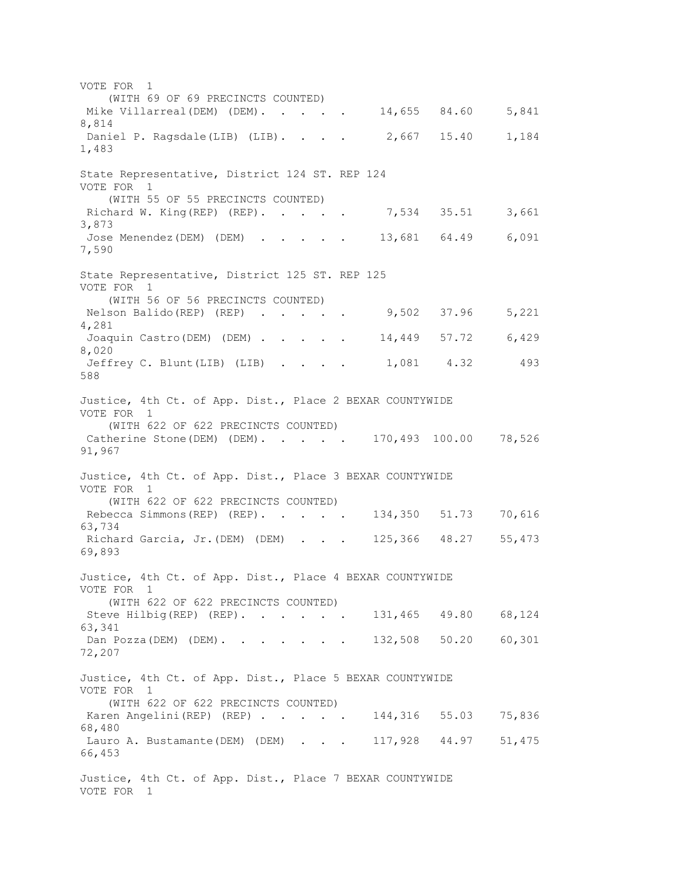VOTE FOR 1 (WITH 69 OF 69 PRECINCTS COUNTED) Mike Villarreal(DEM) (DEM). . . . . 14,655 84.60 5,841 8,814 Daniel P. Ragsdale(LIB) (LIB). . . . 2,667 15.40 1,184 1,483 State Representative, District 124 ST. REP 124 VOTE FOR 1 (WITH 55 OF 55 PRECINCTS COUNTED) Richard W. King(REP) (REP). . . . . 7,534 35.51 3,661 3,873 Jose Menendez(DEM) (DEM) . . . . . 13,681 64.49 6,091 7,590 State Representative, District 125 ST. REP 125 VOTE FOR 1 (WITH 56 OF 56 PRECINCTS COUNTED) Nelson Balido(REP) (REP) . . . . 9,502 37.96 5,221 4,281 Joaquin Castro(DEM) (DEM) . . . . . 14,449 57.72 6,429 8,020 Jeffrey C. Blunt(LIB) (LIB) . . . . 1,081 4.32 493 588 Justice, 4th Ct. of App. Dist., Place 2 BEXAR COUNTYWIDE VOTE FOR 1 (WITH 622 OF 622 PRECINCTS COUNTED) Catherine Stone(DEM) (DEM). . . . . 170,493 100.00 78,526 91,967 Justice, 4th Ct. of App. Dist., Place 3 BEXAR COUNTYWIDE VOTE FOR 1 (WITH 622 OF 622 PRECINCTS COUNTED) Rebecca Simmons(REP) (REP). . . . 134,350 51.73 70,616 63,734 Richard Garcia, Jr.(DEM) (DEM) . . . 125,366 48.27 55,473 69,893 Justice, 4th Ct. of App. Dist., Place 4 BEXAR COUNTYWIDE VOTE FOR 1 (WITH 622 OF 622 PRECINCTS COUNTED) Steve Hilbig(REP) (REP). . . . . 131,465 49.80 68,124 63,341 Dan Pozza(DEM) (DEM). . . . . . 132,508 50.20 60,301 72,207 Justice, 4th Ct. of App. Dist., Place 5 BEXAR COUNTYWIDE VOTE FOR 1 (WITH 622 OF 622 PRECINCTS COUNTED) Karen Angelini(REP) (REP) . . . . 144,316 55.03 75,836 68,480 Lauro A. Bustamante(DEM) (DEM) . . . 117,928 44.97 51,475 66,453 Justice, 4th Ct. of App. Dist., Place 7 BEXAR COUNTYWIDE VOTE FOR 1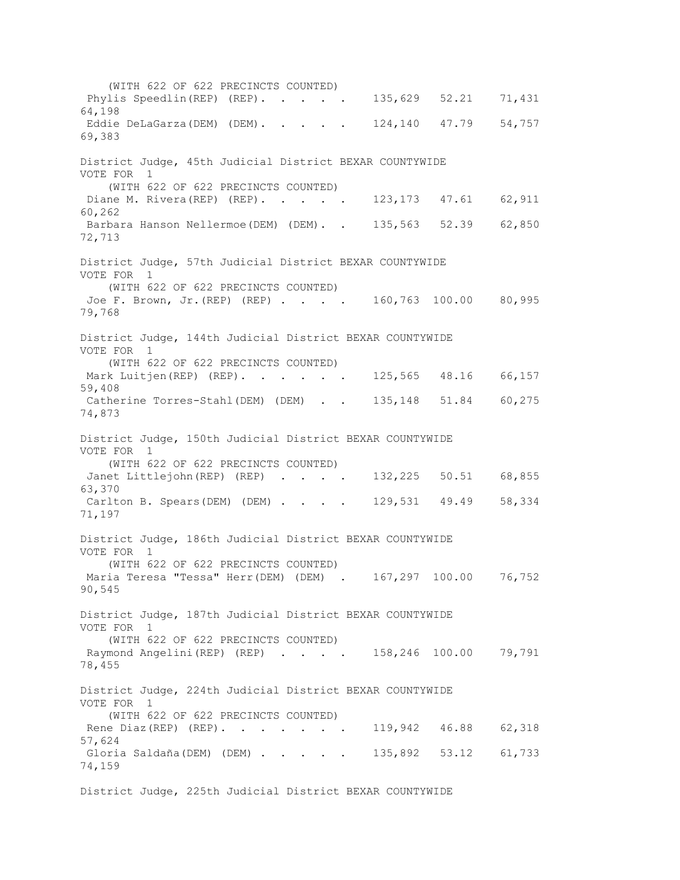(WITH 622 OF 622 PRECINCTS COUNTED) Phylis Speedlin(REP) (REP). . . . . 135,629 52.21 71,431 64,198 Eddie DeLaGarza(DEM) (DEM). . . . 124,140 47.79 54,757 69,383 District Judge, 45th Judicial District BEXAR COUNTYWIDE VOTE FOR 1 (WITH 622 OF 622 PRECINCTS COUNTED) Diane M. Rivera (REP) (REP). . . . . 123,173 47.61 62,911 60,262 Barbara Hanson Nellermoe(DEM) (DEM). . 135,563 52.39 62,850 72,713 District Judge, 57th Judicial District BEXAR COUNTYWIDE VOTE FOR 1 (WITH 622 OF 622 PRECINCTS COUNTED) Joe F. Brown, Jr. (REP) (REP) . . . . 160,763 100.00 80,995 79,768 District Judge, 144th Judicial District BEXAR COUNTYWIDE VOTE FOR 1 (WITH 622 OF 622 PRECINCTS COUNTED) Mark Luitjen(REP) (REP). . . . . 125,565 48.16 66,157 59,408 Catherine Torres-Stahl(DEM) (DEM) . . 135,148 51.84 60,275 74,873 District Judge, 150th Judicial District BEXAR COUNTYWIDE VOTE FOR 1 (WITH 622 OF 622 PRECINCTS COUNTED) Janet Littlejohn (REP) (REP) . . . . 132,225 50.51 68,855 63,370 Carlton B. Spears(DEM) (DEM) . . . . 129,531 49.49 58,334 71,197 District Judge, 186th Judicial District BEXAR COUNTYWIDE VOTE FOR 1 (WITH 622 OF 622 PRECINCTS COUNTED) Maria Teresa "Tessa" Herr(DEM) (DEM) . 167,297 100.00 76,752 90,545 District Judge, 187th Judicial District BEXAR COUNTYWIDE VOTE FOR 1 (WITH 622 OF 622 PRECINCTS COUNTED) Raymond Angelini(REP) (REP) . . . . 158,246 100.00 79,791 78,455 District Judge, 224th Judicial District BEXAR COUNTYWIDE VOTE FOR 1 (WITH 622 OF 622 PRECINCTS COUNTED) Rene Diaz(REP) (REP). . . . . . 119,942 46.88 62,318 57,624 Gloria Saldaña(DEM) (DEM) . . . . 135,892 53.12 61,733 74,159 District Judge, 225th Judicial District BEXAR COUNTYWIDE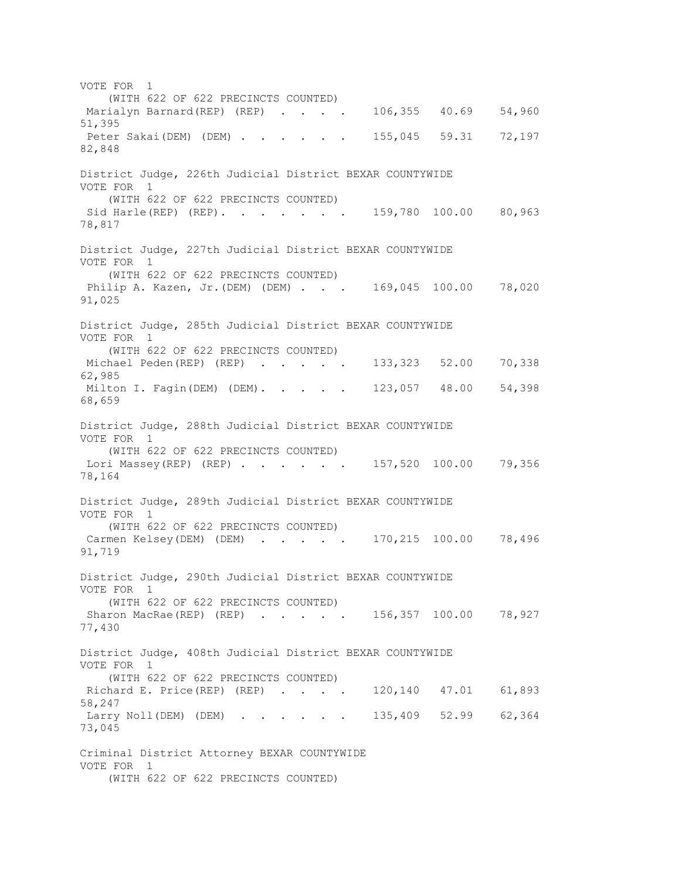VOTE FOR 1 (WITH 622 OF 622 PRECINCTS COUNTED) Marialyn Barnard(REP) (REP) . . . . 106,355 40.69 54,960 51,395 Peter Sakai(DEM) (DEM) . . . . . 155,045 59.31 72,197 82,848 District Judge, 226th Judicial District BEXAR COUNTYWIDE VOTE FOR 1 (WITH 622 OF 622 PRECINCTS COUNTED) Sid Harle(REP) (REP). . . . . . 159,780 100.00 80,963 78,817 District Judge, 227th Judicial District BEXAR COUNTYWIDE VOTE FOR 1 (WITH 622 OF 622 PRECINCTS COUNTED) Philip A. Kazen, Jr. (DEM) (DEM) . . . 169,045 100.00 78,020 91,025 District Judge, 285th Judicial District BEXAR COUNTYWIDE VOTE FOR 1 (WITH 622 OF 622 PRECINCTS COUNTED) Michael Peden(REP) (REP) . . . . 133,323 52.00 70,338 62,985 Milton I. Fagin(DEM) (DEM). . . . 123,057 48.00 54,398 68,659 District Judge, 288th Judicial District BEXAR COUNTYWIDE VOTE FOR 1 (WITH 622 OF 622 PRECINCTS COUNTED) Lori Massey(REP) (REP) . . . . . 157,520 100.00 79,356 78,164 District Judge, 289th Judicial District BEXAR COUNTYWIDE VOTE FOR 1 (WITH 622 OF 622 PRECINCTS COUNTED) Carmen Kelsey(DEM) (DEM) . . . . . 170,215 100.00 78,496 91,719 District Judge, 290th Judicial District BEXAR COUNTYWIDE VOTE FOR 1 (WITH 622 OF 622 PRECINCTS COUNTED) Sharon MacRae(REP) (REP) . . . . . 156,357 100.00 78,927 77,430 District Judge, 408th Judicial District BEXAR COUNTYWIDE VOTE FOR 1 (WITH 622 OF 622 PRECINCTS COUNTED) Richard E. Price(REP) (REP) . . . . 120,140 47.01 61,893 58,247 Larry Noll (DEM) (DEM) . . . . . 135,409 52.99 62,364 73,045 Criminal District Attorney BEXAR COUNTYWIDE VOTE FOR 1 (WITH 622 OF 622 PRECINCTS COUNTED)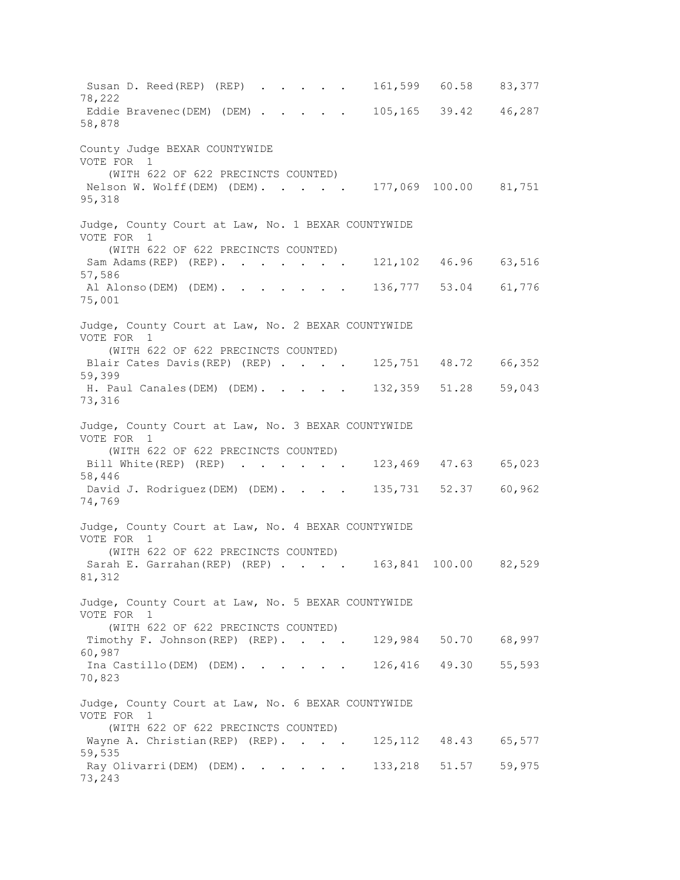Susan D. Reed(REP) (REP) . . . . 161,599 60.58 83,377 78,222 Eddie Bravenec(DEM) (DEM) . . . . 105,165 39.42 46,287 58,878 County Judge BEXAR COUNTYWIDE VOTE FOR 1 (WITH 622 OF 622 PRECINCTS COUNTED) Nelson W. Wolff(DEM) (DEM). . . . . 177,069 100.00 81,751 95,318 Judge, County Court at Law, No. 1 BEXAR COUNTYWIDE VOTE FOR 1 (WITH 622 OF 622 PRECINCTS COUNTED) Sam Adams(REP) (REP). . . . . . 121,102 46.96 63,516 57,586 Al Alonso(DEM) (DEM). . . . . . 136,777 53.04 61,776 75,001 Judge, County Court at Law, No. 2 BEXAR COUNTYWIDE VOTE FOR 1 (WITH 622 OF 622 PRECINCTS COUNTED) Blair Cates Davis (REP) (REP) . . . . 125,751 48.72 66,352 59,399 H. Paul Canales(DEM) (DEM). . . . . 132,359 51.28 59,043 73,316 Judge, County Court at Law, No. 3 BEXAR COUNTYWIDE VOTE FOR 1 (WITH 622 OF 622 PRECINCTS COUNTED) Bill White(REP) (REP) . . . . . 123,469 47.63 65,023 58,446 David J. Rodriguez(DEM) (DEM). . . . 135,731 52.37 60,962 74,769 Judge, County Court at Law, No. 4 BEXAR COUNTYWIDE VOTE FOR 1 (WITH 622 OF 622 PRECINCTS COUNTED) Sarah E. Garrahan (REP) (REP) . . . . 163,841 100.00 82,529 81,312 Judge, County Court at Law, No. 5 BEXAR COUNTYWIDE VOTE FOR 1 (WITH 622 OF 622 PRECINCTS COUNTED) Timothy F. Johnson (REP) (REP). . . . 129,984 50.70 68,997 60,987 Ina Castillo(DEM) (DEM). . . . . 126,416 49.30 55,593 70,823 Judge, County Court at Law, No. 6 BEXAR COUNTYWIDE VOTE FOR 1 (WITH 622 OF 622 PRECINCTS COUNTED) Wayne A. Christian (REP) (REP). . . . 125,112 48.43 65,577 59,535 Ray Olivarri(DEM) (DEM). . . . . 133,218 51.57 59,975 73,243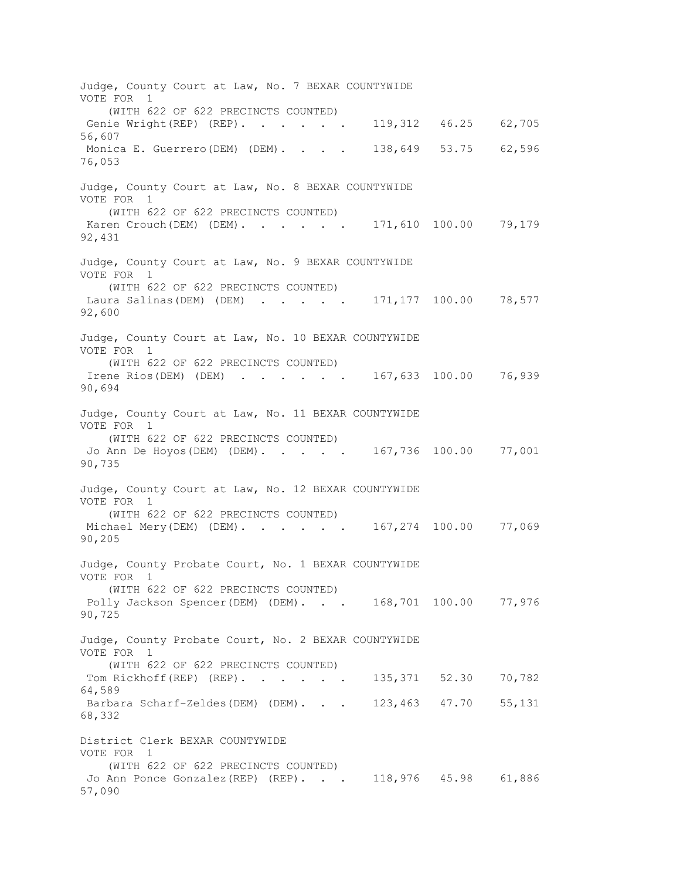Judge, County Court at Law, No. 7 BEXAR COUNTYWIDE VOTE FOR 1 (WITH 622 OF 622 PRECINCTS COUNTED) Genie Wright(REP) (REP). . . . . 119,312 46.25 62,705 56,607 Monica E. Guerrero(DEM) (DEM). . . . 138,649 53.75 62,596 76,053 Judge, County Court at Law, No. 8 BEXAR COUNTYWIDE VOTE FOR 1 (WITH 622 OF 622 PRECINCTS COUNTED) Karen Crouch(DEM) (DEM). . . . . . 171,610 100.00 79,179 92,431 Judge, County Court at Law, No. 9 BEXAR COUNTYWIDE VOTE FOR 1 (WITH 622 OF 622 PRECINCTS COUNTED) Laura Salinas(DEM) (DEM) . . . . . 171,177 100.00 78,577 92,600 Judge, County Court at Law, No. 10 BEXAR COUNTYWIDE VOTE FOR 1 (WITH 622 OF 622 PRECINCTS COUNTED) Irene Rios(DEM) (DEM) . . . . . 167,633 100.00 76,939 90,694 Judge, County Court at Law, No. 11 BEXAR COUNTYWIDE VOTE FOR 1 (WITH 622 OF 622 PRECINCTS COUNTED) Jo Ann De Hoyos(DEM) (DEM). . . . . 167,736 100.00 77,001 90,735 Judge, County Court at Law, No. 12 BEXAR COUNTYWIDE VOTE FOR 1 (WITH 622 OF 622 PRECINCTS COUNTED) Michael Mery(DEM) (DEM). . . . . 167,274 100.00 77,069 90,205 Judge, County Probate Court, No. 1 BEXAR COUNTYWIDE VOTE FOR 1 (WITH 622 OF 622 PRECINCTS COUNTED) Polly Jackson Spencer(DEM) (DEM). . . 168,701 100.00 77,976 90,725 Judge, County Probate Court, No. 2 BEXAR COUNTYWIDE VOTE FOR 1 (WITH 622 OF 622 PRECINCTS COUNTED) Tom Rickhoff(REP) (REP). . . . . 135,371 52.30 70,782 64,589 Barbara Scharf-Zeldes(DEM) (DEM). . . 123,463 47.70 55,131 68,332 District Clerk BEXAR COUNTYWIDE VOTE FOR 1 (WITH 622 OF 622 PRECINCTS COUNTED) Jo Ann Ponce Gonzalez(REP) (REP). . . 118,976 45.98 61,886 57,090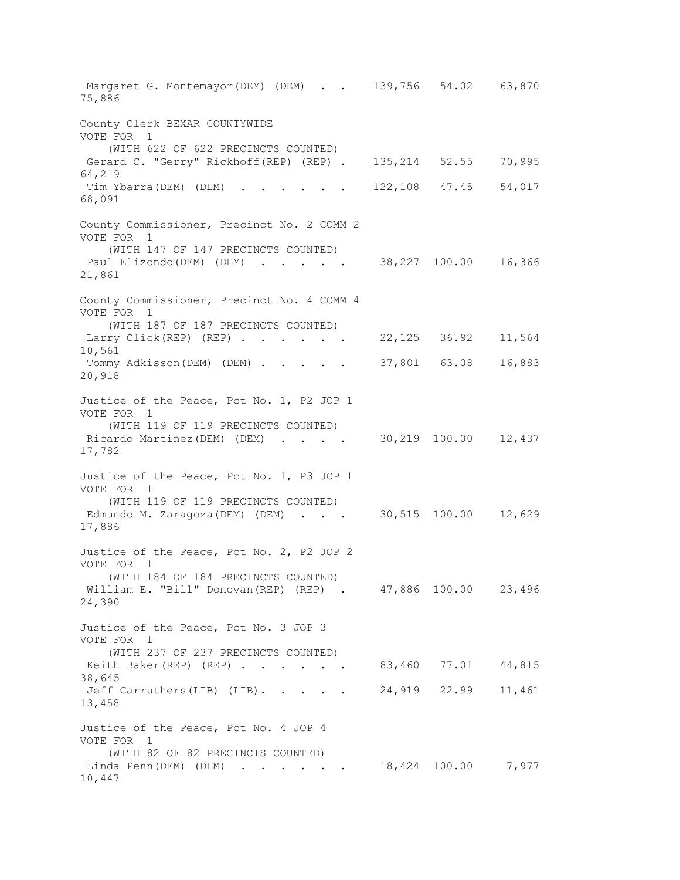Margaret G. Montemayor(DEM) (DEM) . . 139,756 54.02 63,870 75,886 County Clerk BEXAR COUNTYWIDE VOTE FOR 1 (WITH 622 OF 622 PRECINCTS COUNTED) Gerard C. "Gerry" Rickhoff(REP) (REP) . 135,214 52.55 70,995 64,219 Tim Ybarra(DEM) (DEM) . . . . . . 122,108 47.45 54,017 68,091 County Commissioner, Precinct No. 2 COMM 2 VOTE FOR 1 (WITH 147 OF 147 PRECINCTS COUNTED) Paul Elizondo(DEM) (DEM) . . . . . 38,227 100.00 16,366 21,861 County Commissioner, Precinct No. 4 COMM 4 VOTE FOR 1 (WITH 187 OF 187 PRECINCTS COUNTED) Larry Click(REP) (REP) . . . . . 22,125 36.92 11,564 10,561 Tommy Adkisson(DEM) (DEM) . . . . . 37,801 63.08 16,883 20,918 Justice of the Peace, Pct No. 1, P2 JOP 1 VOTE FOR 1 (WITH 119 OF 119 PRECINCTS COUNTED) Ricardo Martinez(DEM) (DEM) . . . . 30,219 100.00 12,437 17,782 Justice of the Peace, Pct No. 1, P3 JOP 1 VOTE FOR 1 (WITH 119 OF 119 PRECINCTS COUNTED) Edmundo M. Zaragoza (DEM) (DEM) . . . 30,515 100.00 12,629 17,886 Justice of the Peace, Pct No. 2, P2 JOP 2 VOTE FOR 1 (WITH 184 OF 184 PRECINCTS COUNTED) William E. "Bill" Donovan(REP) (REP) . 47,886 100.00 23,496 24,390 Justice of the Peace, Pct No. 3 JOP 3 VOTE FOR 1 (WITH 237 OF 237 PRECINCTS COUNTED) Keith Baker(REP) (REP) . . . . . 83,460 77.01 44,815 38,645 Jeff Carruthers(LIB) (LIB). . . . . 24,919 22.99 11,461 13,458 Justice of the Peace, Pct No. 4 JOP 4 VOTE FOR 1 (WITH 82 OF 82 PRECINCTS COUNTED) Linda Penn(DEM) (DEM) . . . . . 18,424 100.00 7,977 10,447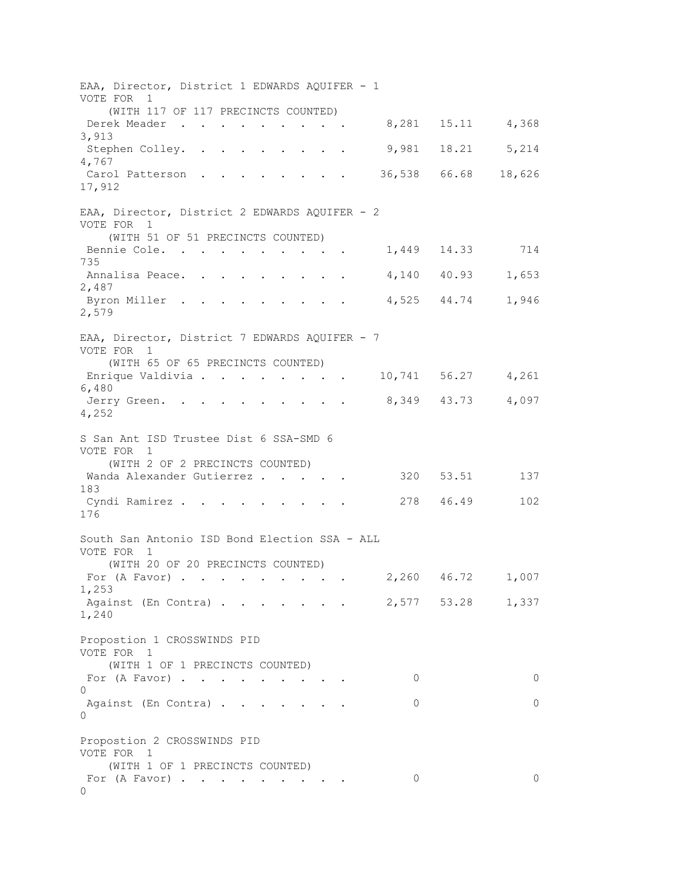EAA, Director, District 1 EDWARDS AQUIFER - 1 VOTE FOR 1 (WITH 117 OF 117 PRECINCTS COUNTED) Derek Meader . . . . . . . . . 8,281 15.11 4,368 3,913 Stephen Colley. . . . . . . . . 9,981 18.21 5,214 4,767 Carol Patterson . . . . . . . . 36,538 66.68 18,626 17,912 EAA, Director, District 2 EDWARDS AQUIFER - 2 VOTE FOR 1 (WITH 51 OF 51 PRECINCTS COUNTED) Bennie Cole. . . . . . . . . . 1,449 14.33 714 735 Annalisa Peace. . . . . . . . . 4,140 40.93 1,653 2,487 Byron Miller . . . . . . . . . 4,525 44.74 1,946 2,579 EAA, Director, District 7 EDWARDS AQUIFER - 7 VOTE FOR 1 (WITH 65 OF 65 PRECINCTS COUNTED) Enrique Valdivia . . . . . . . . 10,741 56.27 4,261 6,480 Jerry Green. . . . . . . . . 8,349 43.73 4,097 4,252 S San Ant ISD Trustee Dist 6 SSA-SMD 6 VOTE FOR 1 (WITH 2 OF 2 PRECINCTS COUNTED) Wanda Alexander Gutierrez . . . . . 320 53.51 137 183 Cyndi Ramirez . . . . . . . . . 278 46.49 102 176 South San Antonio ISD Bond Election SSA - ALL VOTE FOR 1 (WITH 20 OF 20 PRECINCTS COUNTED) For (A Favor) . . . . . . . . . 2,260 46.72 1,007 1,253 Against (En Contra) . . . . . . . 2,577 53.28 1,337 1,240 Propostion 1 CROSSWINDS PID VOTE FOR 1 (WITH 1 OF 1 PRECINCTS COUNTED) For (A Favor) . . . . . . . . . 0 0  $\cap$ Against (En Contra) . . . . . . . 0 0 0 Propostion 2 CROSSWINDS PID VOTE FOR 1 (WITH 1 OF 1 PRECINCTS COUNTED) For (A Favor) . . . . . . . . . 0 0  $\cap$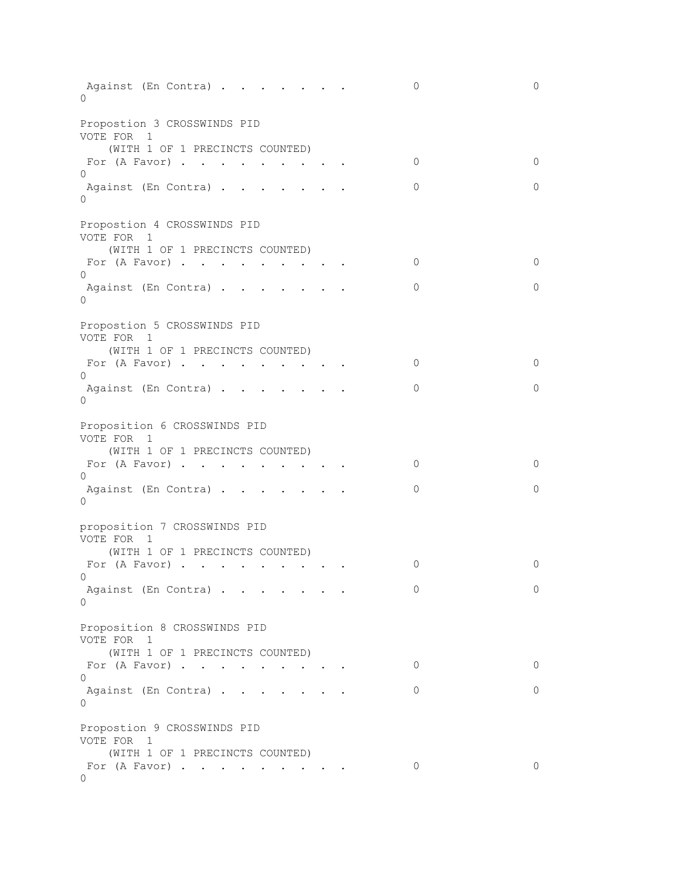| 0                    | Against (En Contra)                                                                            |                                                                   |  | $\circ$ | 0       |
|----------------------|------------------------------------------------------------------------------------------------|-------------------------------------------------------------------|--|---------|---------|
| VOTE FOR 1           | Propostion 3 CROSSWINDS PID                                                                    |                                                                   |  |         |         |
|                      | (WITH 1 OF 1 PRECINCTS COUNTED)<br>For $(A$ Favor)                                             |                                                                   |  | 0       | $\circ$ |
| $\Omega$<br>$\Omega$ | Against (En Contra)                                                                            |                                                                   |  | 0       | $\circ$ |
|                      |                                                                                                |                                                                   |  |         |         |
| VOTE FOR 1           | Propostion 4 CROSSWINDS PID                                                                    |                                                                   |  |         |         |
|                      | (WITH 1 OF 1 PRECINCTS COUNTED)<br>For $(A$ Favor)                                             |                                                                   |  | 0       | $\circ$ |
| 0                    | Against (En Contra)                                                                            |                                                                   |  | 0       | $\circ$ |
| $\Omega$             |                                                                                                |                                                                   |  |         |         |
| VOTE FOR 1           | Propostion 5 CROSSWINDS PID                                                                    |                                                                   |  |         |         |
|                      | (WITH 1 OF 1 PRECINCTS COUNTED)                                                                |                                                                   |  |         |         |
| $\Omega$             | For $(A$ Favor)                                                                                |                                                                   |  | 0       | $\circ$ |
| $\Omega$             | Against (En Contra)                                                                            |                                                                   |  | 0       | $\circ$ |
| VOTE FOR 1           | Proposition 6 CROSSWINDS PID                                                                   |                                                                   |  |         |         |
|                      | (WITH 1 OF 1 PRECINCTS COUNTED)<br>For $(A$ Favor)                                             |                                                                   |  | 0       | $\circ$ |
| $\Omega$             | Against (En Contra)                                                                            |                                                                   |  | 0       | $\circ$ |
| 0                    |                                                                                                |                                                                   |  |         |         |
| VOTE FOR 1           | proposition 7 CROSSWINDS PID                                                                   |                                                                   |  |         |         |
|                      | (WITH 1 OF 1 PRECINCTS COUNTED)<br>For (A Favor)<br>$\mathbf{r}$ , $\mathbf{r}$ , $\mathbf{r}$ |                                                                   |  | 0       | 0       |
| $\cap$ and $\cap$    |                                                                                                | $\mathcal{L}(\mathcal{A})$ , and $\mathcal{L}(\mathcal{A})$ , and |  |         |         |
| 0                    | Against (En Contra)                                                                            |                                                                   |  | 0       | 0       |
| VOTE FOR 1           | Proposition 8 CROSSWINDS PID                                                                   |                                                                   |  |         |         |
|                      | (WITH 1 OF 1 PRECINCTS COUNTED)<br>For $(A$ Favor)                                             |                                                                   |  | 0       | $\circ$ |
| $\Omega$             |                                                                                                |                                                                   |  |         |         |
| $\Omega$             | Against (En Contra)                                                                            |                                                                   |  | 0       | $\circ$ |
| VOTE FOR 1           | Propostion 9 CROSSWINDS PID                                                                    |                                                                   |  |         |         |
| 0                    | (WITH 1 OF 1 PRECINCTS COUNTED)<br>For $(A$ Favor)                                             |                                                                   |  | 0       | $\circ$ |